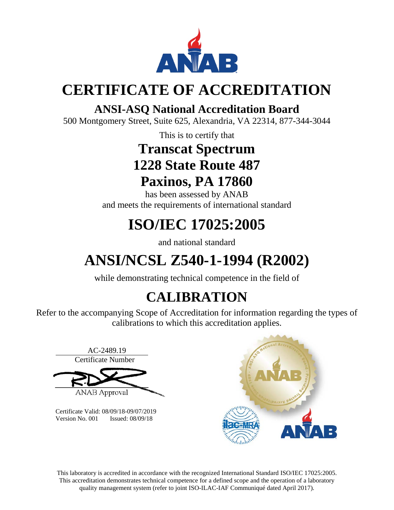

## **CERTIFICATE OF ACCREDITATION**

## **ANSI-ASQ National Accreditation Board**

500 Montgomery Street, Suite 625, Alexandria, VA 22314, 877-344-3044

This is to certify that

## **Transcat Spectrum 1228 State Route 487 Paxinos, PA 17860**

has been assessed by ANAB and meets the requirements of international standard

# **ISO/IEC 17025:2005**

and national standard

# **ANSI/NCSL Z540-1-1994 (R2002)**

while demonstrating technical competence in the field of

## **CALIBRATION**

Refer to the accompanying Scope of Accreditation for information regarding the types of calibrations to which this accreditation applies.



Certificate Valid: 08/09/18-09/07/2019 Version No. 001 Issued: 08/09/18



This laboratory is accredited in accordance with the recognized International Standard ISO/IEC 17025:2005. This accreditation demonstrates technical competence for a defined scope and the operation of a laboratory quality management system (refer to joint ISO-ILAC-IAF Communiqué dated April 2017).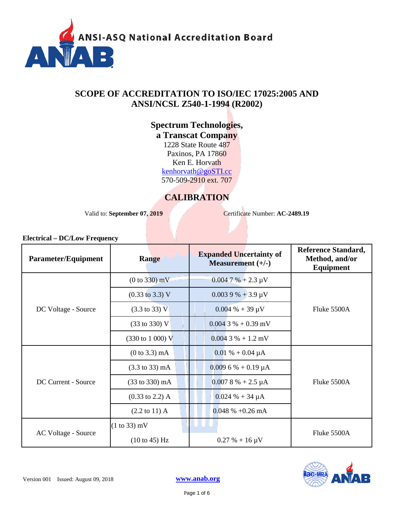

## **SCOPE OF ACCREDITATION TO ISO/IEC 17025:2005 AND ANSI/NCSL Z540-1-1994 (R2002)**

### **Spectrum Technologies, a Transcat Company**

1228 State Route 487 Paxinos, PA 17860 Ken E. Horvath [kenhorvath@goSTI.cc](mailto:kenhorvath@goSTI.cc) 570-509-2910 ext. 707

## **CALIBRATION**

Valid to: **September 07, 2019** Certificate Number: **AC-2489.19** 

| <b>Electrical – DC/Low Frequency</b> |                                    |                                                       |                                                           |
|--------------------------------------|------------------------------------|-------------------------------------------------------|-----------------------------------------------------------|
| Parameter/Equipment                  | Range                              | <b>Expanded Uncertainty of</b><br>Measurement $(+/-)$ | <b>Reference Standard,</b><br>Method, and/or<br>Equipment |
| DC Voltage - Source                  | (0 to 330) mV                      | $0.004$ 7 % + 2.3 µV                                  |                                                           |
|                                      | $(0.33 \text{ to } 3.3) \text{ V}$ | $0.0039\% + 3.9 \mu V$                                |                                                           |
|                                      | $(3.3 \text{ to } 33) \text{ V}$   | $0.004 \% + 39 \mu V$                                 | Fluke 5500A                                               |
|                                      | $(33 \text{ to } 330) \text{ V}$   | $0.004$ 3 % + 0.39 mV                                 |                                                           |
|                                      | $(330 \text{ to } 1000) \text{ V}$ | $0.0043\% + 1.2$ mV                                   |                                                           |
| DC Current - Source                  | $(0 to 3.3)$ mA                    | $0.01\% + 0.04 \mu A$                                 |                                                           |
|                                      | $(3.3 \text{ to } 33) \text{ mA}$  | $0.0096% + 0.19 \mu A$                                |                                                           |
|                                      | (33 to 330) mA                     | $0.0078% + 2.5 \mu A$                                 | Fluke 5500A                                               |
|                                      | $(0.33 \text{ to } 2.2)$ A         | $0.024 % + 34 \mu A$                                  |                                                           |
|                                      | $(2.2 \text{ to } 11)$ A           | $0.048 \% + 0.26 mA$                                  |                                                           |
| AC Voltage - Source                  | $(1 to 33)$ mV                     | UU L                                                  |                                                           |
|                                      | $(10 \text{ to } 45)$ Hz           | $0.27 % + 16 \mu V$                                   | Fluke 5500A                                               |

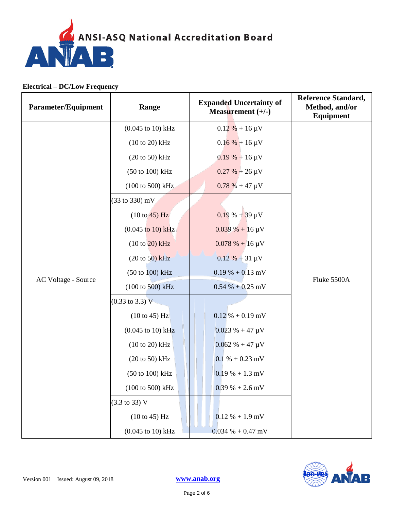

| Parameter/Equipment | Range                                | <b>Expanded Uncertainty of</b><br>Measurement $(+/-)$ | <b>Reference Standard,</b><br>Method, and/or<br>Equipment |
|---------------------|--------------------------------------|-------------------------------------------------------|-----------------------------------------------------------|
|                     | $(0.045 \text{ to } 10) \text{ kHz}$ | $0.12\% + 16 \,\mu\text{V}$                           |                                                           |
|                     | $(10 to 20)$ kHz                     | $0.16 \% + 16 \mu V$                                  |                                                           |
|                     | $(20 \text{ to } 50)$ kHz            | $0.19% + 16 \mu V$                                    |                                                           |
|                     | (50 to 100) kHz                      | $0.27 % + 26 \mu V$                                   |                                                           |
|                     | (100 to 500) kHz                     | $0.78 \% + 47 \mu V$                                  |                                                           |
|                     | $(33 \text{ to } 330) \text{ mV}$    |                                                       |                                                           |
|                     | $(10 \text{ to } 45)$ Hz             | $0.19 \% + 39 \mu V$                                  |                                                           |
|                     | $(0.045 \text{ to } 10) \text{ kHz}$ | $0.039\% + 16 \,\mu\text{V}$                          |                                                           |
|                     | $(10 to 20)$ kHz                     | $0.078 \% + 16 \mu V$                                 |                                                           |
|                     | $(20 \text{ to } 50)$ kHz            | $0.12 \% + 31 \mu V$                                  | Fluke 5500A                                               |
| AC Voltage - Source | $(50 \text{ to } 100) \text{ kHz}$   | $0.19\% + 0.13$ mV                                    |                                                           |
|                     | $(100 \text{ to } 500) \text{ kHz}$  | $0.54 % + 0.25 mV$                                    |                                                           |
|                     | $(0.33 \text{ to } 3.3) \text{ V}$   |                                                       |                                                           |
|                     | $(10 \text{ to } 45)$ Hz             | $0.12\% + 0.19$ mV                                    |                                                           |
|                     | $(0.045 \text{ to } 10) \text{ kHz}$ | $0.023 \% + 47 \mu V$                                 |                                                           |
|                     | $(10 to 20)$ kHz                     | $0.062 \% + 47 \mu V$                                 |                                                           |
|                     | $(20 to 50)$ kHz                     | $0.1 % + 0.23 mV$                                     |                                                           |
|                     | (50 to 100) kHz                      | $0.19% + 1.3$ mV                                      |                                                           |
|                     | (100 to 500) kHz                     | $0.39\% + 2.6\,\text{mV}$                             |                                                           |
|                     | $(3.3 \text{ to } 33) \text{ V}$     |                                                       |                                                           |
|                     | (10 to 45) Hz                        | $0.12 % + 1.9 mV$                                     |                                                           |
|                     | $(0.045 \text{ to } 10) \text{ kHz}$ | $0.034 % + 0.47 mV$                                   |                                                           |

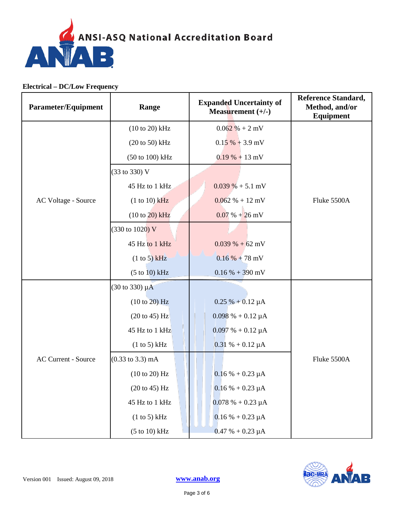

| <b>Parameter/Equipment</b> | Range                               | <b>Expanded Uncertainty of</b><br>Measurement $(+/-)$ | <b>Reference Standard,</b><br>Method, and/or<br>Equipment |
|----------------------------|-------------------------------------|-------------------------------------------------------|-----------------------------------------------------------|
|                            | $(10 to 20)$ kHz                    | $0.062\% + 2mV$                                       |                                                           |
|                            | $(20 \text{ to } 50)$ kHz           | $0.15\% + 3.9$ mV                                     |                                                           |
|                            | (50 to 100) kHz                     | $0.19% + 13$ mV                                       |                                                           |
|                            | (33 to 330) V                       |                                                       |                                                           |
|                            | 45 Hz to 1 kHz                      | $0.039\% + 5.1$ mV                                    |                                                           |
| AC Voltage - Source        | $(1 to 10)$ kHz                     | $0.062 % + 12 mV$                                     | Fluke 5500A                                               |
|                            | $(10 to 20)$ kHz                    | $0.07\% + 26 \text{ mV}$                              |                                                           |
|                            | (330 to 1020) V                     |                                                       |                                                           |
|                            | 45 Hz to 1 kHz                      | $0.039\% + 62 \text{ mV}$                             |                                                           |
|                            | (1 to 5) kHz                        | $0.16\% + 78$ mV                                      |                                                           |
|                            | (5 to 10) kHz                       | $0.16 % + 390 mV$                                     |                                                           |
|                            | $(30 \text{ to } 330) \mu\text{A}$  |                                                       |                                                           |
|                            | (10 to 20) Hz                       | $0.25 % + 0.12 \mu A$                                 |                                                           |
|                            | $(20 \text{ to } 45)$ Hz            | $0.098\% + 0.12 \mu A$                                |                                                           |
|                            | 45 Hz to 1 kHz                      | $0.097% + 0.12 \mu A$                                 |                                                           |
|                            | (1 to 5) kHz                        | $0.31 \% + 0.12 \mu A$                                |                                                           |
| <b>AC Current - Source</b> | $(0.33 \text{ to } 3.3) \text{ mA}$ |                                                       | Fluke 5500A                                               |
|                            | (10 to 20) Hz                       | $0.16 % + 0.23 \mu A$                                 |                                                           |
|                            | (20 to 45) Hz                       | $0.16 % + 0.23 \mu A$                                 |                                                           |
|                            | 45 Hz to 1 kHz                      | $0.078% + 0.23 \mu A$                                 |                                                           |
|                            | (1 to 5) kHz                        | $0.16 % + 0.23 \mu A$                                 |                                                           |
|                            | $(5 \text{ to } 10) \text{ kHz}$    | $0.47 % + 0.23 \mu A$                                 |                                                           |

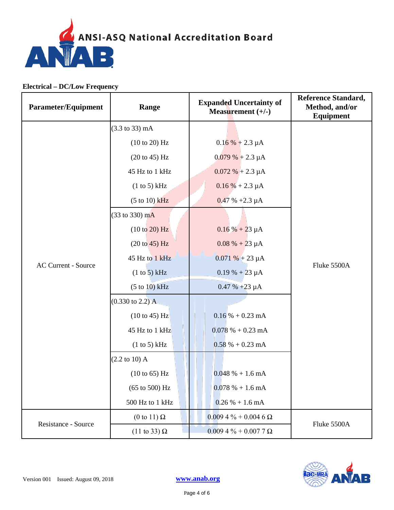

| Parameter/Equipment        | Range                               | <b>Expanded Uncertainty of</b><br>Measurement $(+/-)$ | <b>Reference Standard,</b><br>Method, and/or<br><b>Equipment</b> |
|----------------------------|-------------------------------------|-------------------------------------------------------|------------------------------------------------------------------|
|                            | $(3.3 \text{ to } 33) \text{ mA}$   |                                                       |                                                                  |
|                            | (10 to 20) Hz                       | $0.16\% + 2.3 \mu A$                                  |                                                                  |
|                            | $(20 \text{ to } 45)$ Hz            | $0.079% + 2.3 \mu A$                                  |                                                                  |
|                            | 45 Hz to 1 kHz                      | $0.072 \% + 2.3 \mu A$                                |                                                                  |
|                            | (1 to 5) kHz                        | $0.16\% + 2.3 \mu A$                                  |                                                                  |
|                            | $(5 to 10)$ kHz                     | $0.47 \% +2.3 \mu A$                                  |                                                                  |
|                            | (33 to 330) mA                      |                                                       |                                                                  |
|                            | (10 to 20) Hz                       | $0.16\% + 23 \mu A$                                   | Fluke 5500A                                                      |
|                            | (20 to 45) Hz                       | $0.08 \% + 23 \mu A$                                  |                                                                  |
| <b>AC Current - Source</b> | 45 Hz to 1 kHz                      | $0.071% + 23 \mu A$                                   |                                                                  |
|                            | (1 to 5) kHz                        | $0.19% + 23~\mu A$                                    |                                                                  |
|                            | (5 to 10) kHz                       | $0.47 \% +23 \mu A$                                   |                                                                  |
|                            | $(0.330 \text{ to } 2.2) \text{ A}$ |                                                       |                                                                  |
|                            | $(10 \text{ to } 45)$ Hz            | $0.16\% + 0.23 \text{ mA}$                            |                                                                  |
|                            | 45 Hz to 1 kHz                      | $0.078% + 0.23$ mA                                    |                                                                  |
|                            | (1 to 5) kHz                        | $0.58\% + 0.23 \text{ mA}$                            |                                                                  |
|                            | $(2.2 \text{ to } 10) \text{ A}$    |                                                       |                                                                  |
|                            | $(10 \text{ to } 65)$ Hz            | $0.048\% + 1.6 \text{ mA}$                            |                                                                  |
|                            | $(65 \text{ to } 500) \text{ Hz}$   | $0.078% + 1.6$ mA                                     |                                                                  |
|                            | 500 Hz to 1 kHz                     | $0.26 % + 1.6 mA$                                     |                                                                  |
| Resistance - Source        | (0 to 11) $\Omega$                  | $0.0094\% + 0.0046\Omega$                             | Fluke 5500A                                                      |
|                            | $(11 \text{ to } 33) \Omega$        | $0.0094\% + 0.0077\Omega$                             |                                                                  |

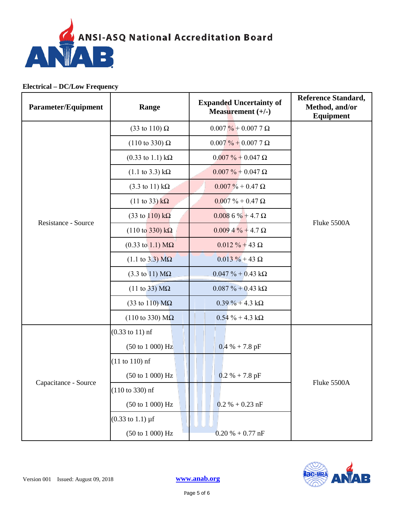

| Parameter/Equipment  | Range                                        | <b>Expanded Uncertainty of</b><br>Measurement $(+/-)$ | <b>Reference Standard,</b><br>Method, and/or<br>Equipment |
|----------------------|----------------------------------------------|-------------------------------------------------------|-----------------------------------------------------------|
|                      | $(33 \text{ to } 110) \Omega$                | $0.007\% + 0.0077\Omega$                              |                                                           |
|                      | $(110 \text{ to } 330) \Omega$               | $0.007\% + 0.0077\Omega$                              |                                                           |
|                      | $(0.33 \text{ to } 1.1) \text{ k}\Omega$     | $0.007\% + 0.047\Omega$                               |                                                           |
|                      | $(1.1 \text{ to } 3.3) \text{ k}\Omega$      | $0.007\% + 0.047\Omega$                               |                                                           |
|                      | $(3.3 \text{ to } 11) \text{ k}\Omega$       | $0.007\% + 0.47\Omega$                                |                                                           |
|                      | $(11 \text{ to } 33) \text{ k}\Omega$        | $0.007\% + 0.47\Omega$                                |                                                           |
| Resistance - Source  | $(33 \text{ to } 110) \text{ k}\Omega$       | $0.0086\% + 4.7\Omega$                                | Fluke 5500A                                               |
|                      | $(110 \text{ to } 330) \text{ k}\Omega$      | $0.0094\% + 4.7 \Omega$                               |                                                           |
|                      | $(0.33 \text{ to } 1.1) \text{ M}\Omega$     | $0.012 \% + 43 \Omega$                                |                                                           |
|                      | $(1.1 \text{ to } 3.3) \text{ M}\Omega$      | $0.013 \% + 43 \Omega$                                |                                                           |
|                      | $(3.3 \text{ to } 11) \text{ M}\Omega$       | $0.047 \% + 0.43 k\Omega$                             |                                                           |
|                      | $(11 \text{ to } 33) \text{ M}\Omega$        | $0.087 \% + 0.43 k\Omega$                             |                                                           |
|                      | $(33 \text{ to } 110) \text{ M}\Omega$       | $0.39\% + 4.3 k\Omega$                                |                                                           |
|                      | $(110 \text{ to } 330) \text{ M}\Omega$      | $0.54 \% + 4.3 k\Omega$                               |                                                           |
|                      | $(0.33 \text{ to } 11) \text{ nf}$           |                                                       |                                                           |
| Capacitance - Source | (50 to 1 000) Hz                             | $0.4 % + 7.8 pF$                                      |                                                           |
|                      | $(11 to 110)$ nf                             |                                                       |                                                           |
|                      | $(50 \text{ to } 1000) \text{ Hz}$           | $0.2 % + 7.8 pF$                                      | Fluke 5500A                                               |
|                      | $(110 to 330)$ nf                            |                                                       |                                                           |
|                      | $(50 \text{ to } 1 \text{ } 000) \text{ Hz}$ | $0.2 % + 0.23 nF$                                     |                                                           |
|                      | $(0.33 \text{ to } 1.1) \,\mu\text{f}$       |                                                       |                                                           |
|                      | (50 to 1 000) Hz                             | $0.20 % + 0.77 nF$                                    |                                                           |